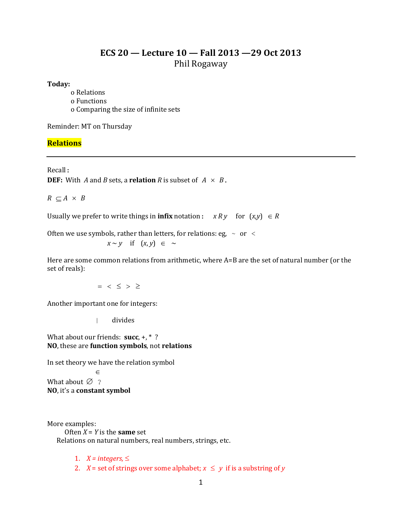# **ECS 20 — Lecture 10 — Fall 2013 —29 Oct 2013** Phil Rogaway

## **Today:**

o Relations o Functions o Comparing the size of infinite sets

Reminder: MT on Thursday

## **Relations**

Recall:

**DEF:** With *A* and *B* sets, a **relation** *R* is subset of  $A \times B$ .

 $R \subset A \times B$ 

Usually we prefer to write things in **infix** notation:  $x R y$  for  $(x,y) \in R$ 

Often we use symbols, rather than letters, for relations: eg,  $\sim$  or  $\leq$ 

$$
x \sim y \quad \text{if} \quad (x, y) \in \sim
$$

Here are some common relations from arithmetic, where A=B are the set of natural number (or the set of reals):

 $=$  <  $\leq$  >  $\geq$ 

Another important one for integers:

| divides

What about our friends: **succ**, +, \* ? **NO**, these are **function symbols**, not **relations**

In set theory we have the relation symbol

 $\in$ What about  $\varnothing$  ? **NO**, it's a **constant symbol**

More examples:

Often  $X = Y$  is the **same** set Relations on natural numbers, real numbers, strings, etc.

1.  $X = integers, \leq$ 

2. *X* = set of strings over some alphabet;  $x \le y$  if is a substring of *y*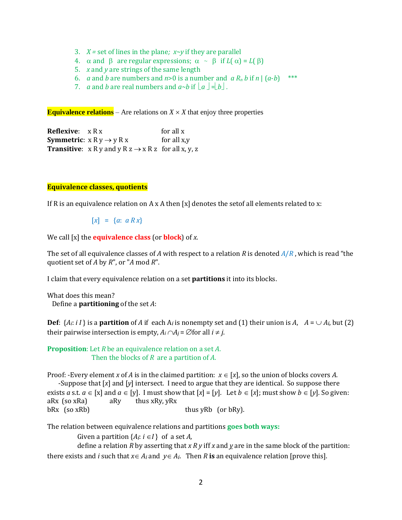- 3. *X =* set of lines in the plane*; x~y* if they are parallel
- 4.  $\alpha$  and  $\beta$  are regular expressions;  $\alpha \sim \beta$  if  $L(\alpha) = L(\beta)$
- 5. *x* and *y* are strings of the same length
- 6. *a* and *b* are numbers and *n*>0 is a number and *a*  $R_n$  *b* if *n* |  $(a-b)$  \*\*\*
- 7. *a* and *b* are real numbers and  $a \rightarrow b$  if  $|a| = |b|$ .

**Equivalence relations** – Are relations on  $X \times X$  that enjoy three properties

**Reflexive**: x R x for all x **Symmetric**:  $x R y \rightarrow y R x$  for all x,y **Transitive**:  $x R y$  and  $y R z \rightarrow x R z$  for all  $x, y, z$ 

## **Equivalence classes, quotients**

If R is an equivalence relation on A x A then [x] denotes the set of all elements related to x:

 $[x] = \{a: a R x\}$ 

We call [x] the **equivalence class** (or **block**) of *x*.

The set of all equivalence classes of *A* with respect to a relation *R* is denoted *A*/*R* , which is read "the quotient set of *A* by *R*", or "*A* mod *R*".

I claim that every equivalence relation on a set **partitions** it into its blocks.

```
What does this mean?
Define a partitioning of the set A:
```
**Def**:  $\{A_i : i\ I\}$  is a **partition** of *A* if each  $A_i$  is nonempty set and (1) their union is  $A$ ,  $A = \bigcup A_i$ , but (2) their pairwise intersection is empty,  $A_i \cap A_j = \emptyset$  for all  $i \neq j$ .

**Proposition**: Let *R* be an equivalence relation on a set *A*. Then the blocks of *R* are a partition of *A*.

Proof: -Every element *x* of *A* is in the claimed partition:  $x \in [x]$ , so the union of blocks covers *A*.

 -Suppose that [*x*] and [*y*] intersect. I need to argue that they are identical. So suppose there exists *a* s.t.  $a \in [x]$  and  $a \in [y]$ . I must show that  $[x] = [y]$ . Let  $b \in [x]$ ; must show  $b \in [y]$ . So given: aRx (so xRa) aRy thus xRy, yRx  $bRx$  (so  $xRb$ ) thus yRb (or  $bRy$ ).

The relation between equivalence relations and partitions **goes both ways:**

Given a partition  $\{A_i: i \in I\}$  of a set *A*,

define a relation *R* by asserting that *x R y* iff *x* and *y* are in the same block of the partition: there exists and *i* such that  $x \in A_i$  and  $y \in A_i$ . Then *R* is an equivalence relation [prove this].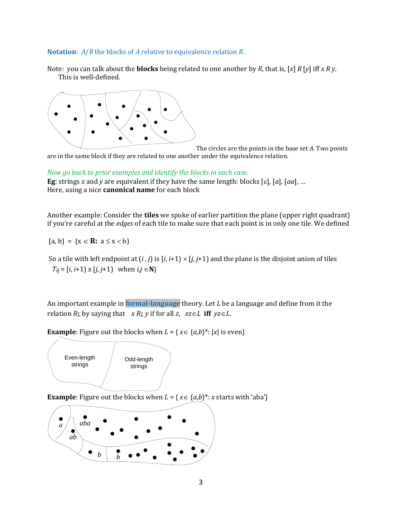#### **Notation**: *A*/*R* the blocks of *A* relative to equivalence relation *R*.

Note: you can talk about the **blocks** being related to one another by *R*, that is, [*x*] *R* [*y*] iff *x R y*. This is well-defined.



The circles are the points in the base set *A*. Two points are in the same block if they are related to one another under the equivalence relation.

*Now go back to prior examples and identify the blocks in each case.* **Eg**: strings *x* and *y* are equivalent if they have the same length: blocks [ɛ], [a], [aa], ...

Here, using a nice **canonical name** for each block

Another example: Consider the **tiles** we spoke of earlier partition the plane (upper right quadrant) if you're careful at the *edges* of each tile to make sure that each point is in only one tile. We defined

 $[a, b] = \{x \in \mathbb{R}: a \le x < b\}$ 

So a tile with left endpoint at  $(i, j)$  is  $[i, i+1] \times [j, j+1]$  and the plane is the disjoint union of tiles  $T_{ij} = [i, i+1] \times [j, j+1]$  when  $i, j \in \mathbb{N}$ 

An important example in **formal-language** theory. Let *L* be a language and define from it the relation  $R_L$  by saying that  $x R_L y$  if for all  $z$ ,  $xz \in L$  iff  $yz \in L$ .

**Example**: Figure out the blocks when  $L = \{ x \in \{a,b\}^* : |x| \text{ is even} \}$ 



**Example**: Figure out the blocks when  $L = \{x \in \{a,b\}^* : x \text{ starts with 'aba'}\}$ 

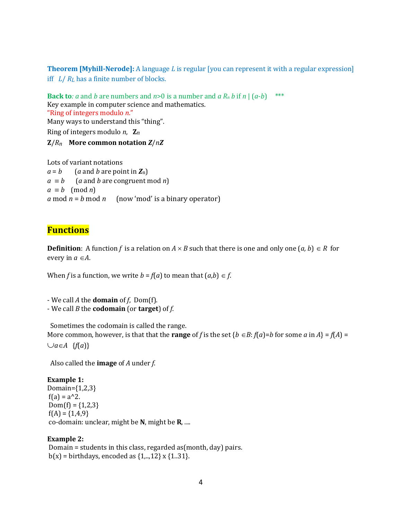**Theorem [Myhill-Nerode]:** A language *L* is regular [you can represent it with a regular expression] iff *L*/ *RL* has a finite number of blocks.

**Back to***: a* and *b* are numbers and  $n>0$  is a number and  $a R_n b$  if  $n | (a-b)$  \*\*\* Key example in computer science and mathematics. "Ring of integers modulo *n*." Many ways to understand this "thing". Ring of integers modulo *n*, **Z***n* **Z**/*Rn* **More common notation** *Z*/*nZ*

Lots of variant notations  $a = b$  (*a* and *b* are point in **Z**<sub>n</sub>)  $a \equiv b$  (*a* and *b* are congruent mod *n*)  $a \equiv b \pmod{n}$ *a* mod  $n = b$  mod  $n$  (now 'mod' is a binary operator)

## **Functions**

**Definition**: A function *f* is a relation on  $A \times B$  such that there is one and only one  $(a, b) \in R$  for every in  $a \in A$ .

When *f* is a function, we write  $b = f(a)$  to mean that  $(a,b) \in f$ .

- We call *A* the **domain** of *f*, Dom(f). - We call *B* the **codomain** (or **target**) of *f*.

 Sometimes the codomain is called the range. More common, however, is that that the **range** of *f* is the set  $\{b \in B : f(a)=b \}$  for some *a* in  $A\} = f(A) =$  $\cup$ *a* $\in$ *A* {*f*(*a*)}

Also called the **image** of *A* under *f*.

**Example 1:**  Domain= $\{1,2,3\}$  $f(a) = a^2$ .  $Dom(f) = \{1,2,3\}$  $f(A) = \{1,4,9\}$ co-domain: unclear, might be **N**, might be **R**, ....

## **Example 2:**

Domain = students in this class, regarded as(month, day) pairs.  $b(x) = \text{birthdays}$ , encoded as  $\{1, ..., 12\}$  x  $\{1..31\}$ .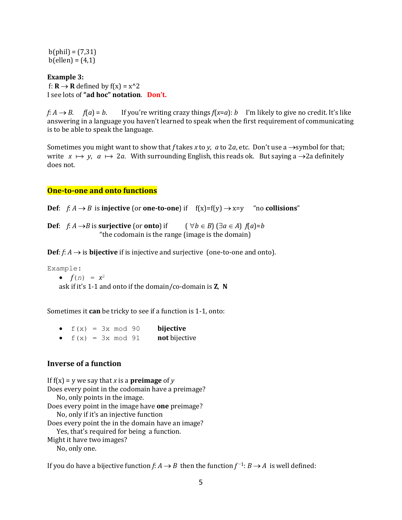$b(\text{phil}) = (7,31)$  $b$ (ellen) =  $(4,1)$ 

**Example 3:** f:  $\mathbf{R} \to \mathbf{R}$  defined by  $f(x) = x^2/2$ I see lots of **"ad hoc" notation**. **Don't.**

*f*: *A*  $\rightarrow$  *B*. *f*(*a*) = *b*. If you're writing crazy things *f*(*x*=*a*): *b* I'm likely to give no credit. It's like answering in a language you haven't learned to speak when the first requirement of communicating is to be able to speak the language.

Sometimes you might want to show that *f* takes *x* to *y*, *a* to 2*a*, etc. Don't use a  $\rightarrow$ symbol for that; write  $x \mapsto y$ ,  $a \mapsto 2a$ . With surrounding English, this reads ok. But saying a  $\rightarrow$  2a definitely does not.

#### **One-to-one and onto functions**

**Def**:  $f: A \rightarrow B$  is **injective** (or **one-to-one**) if  $f(x)=f(y) \rightarrow x=y$  "no **collisions**"

**Def**:  $f: A \rightarrow B$  is surjective (or **onto**) if  $(\forall b \in B) (\exists a \in A) f(a)=b$ "the codomain is the range (image is the domain)

**Def**:  $f: A \rightarrow$  is **bijective** if is injective and surjective (one-to-one and onto).

Example:

•  $f(n) = x^2$ ask if it's 1-1 and onto if the domain/co-domain is **Z**, **N**

Sometimes it **can** be tricky to see if a function is 1-1, onto:

| $f(x) = 3x \mod 90$ |  |  | bijective     |
|---------------------|--|--|---------------|
| $f(x) = 3x \mod 91$ |  |  | not bijective |

## **Inverse of a function**

If  $f(x) = y$  we say that *x* is a **preimage** of *y* Does every point in the codomain have a preimage? No, only points in the image. Does every point in the image have **one** preimage? No, only if it's an injective function Does every point the in the domain have an image? Yes, that's required for being a function. Might it have two images? No, only one.

If you do have a bijective function *f*:  $A \rightarrow B$  then the function  $f^{-1}: B \rightarrow A$  is well defined: